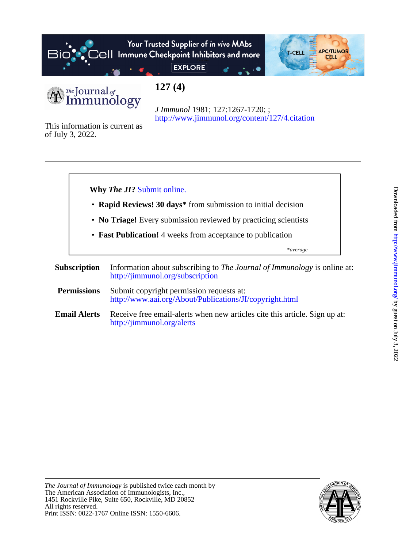

# Your Trusted Supplier of in vivo MAbs  $\mathcal{E}$   $\Theta$   $\parallel$  Immune Checkpoint Inhibitors and more



**EXPLORE** 

*The* Journal of Immunology **127 (4)**

<http://www.jimmunol.org/content/127/4.citation> *J Immunol* 1981; 127:1267-1720; ;

of July 3, 2022. This information is current as



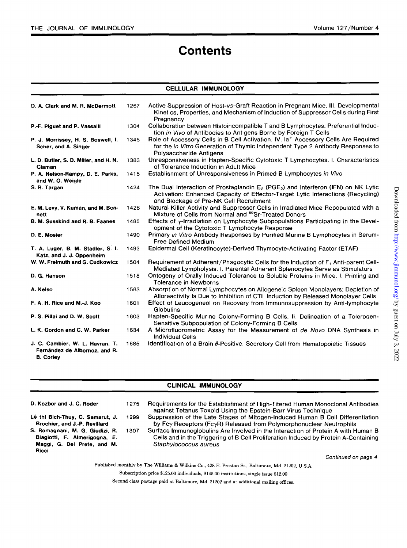Downloaded from http://www.jimmunol.org/ by guest on July 3, 2022  $Downloaded from http://www.jimmunol.org/ by guest on July 3, 2022$  $Downloaded from http://www.jimmunol.org/ by guest on July 3, 2022$  $Downloaded from http://www.jimmunol.org/ by guest on July 3, 2022$ 

# **Contents**

## **CELLULAR IMMUNOLOGY**

| D. A. Clark and M. R. McDermott                                                      | 1267 | Active Suppression of Host-vs-Graft Reaction in Pregnant Mice. III. Developmental<br>Kinetics, Properties, and Mechanism of Induction of Suppressor Cells during First<br>Pregnancy                                            |
|--------------------------------------------------------------------------------------|------|--------------------------------------------------------------------------------------------------------------------------------------------------------------------------------------------------------------------------------|
| P.-F. Piguet and P. Vassalli                                                         | 1304 | Collaboration between Histoincompatible T and B Lymphocytes: Preferential Induc-<br>tion in Vivo of Antibodies to Antigens Borne by Foreign T Cells                                                                            |
| P. J. Morrissey, H. S. Boswell, I.<br>Scher, and A. Singer                           | 1345 | Role of Accessory Cells in B Cell Activation. IV. Ia <sup>+</sup> Accessory Cells Are Required<br>for the <i>in Vitro</i> Generation of Thymic Independent Type 2 Antibody Responses to<br>Polysaccharide Antigens             |
| L. D. Butler, S. D. Miller, and H. N.<br>Claman                                      | 1383 | Unresponsiveness in Hapten-Specific Cytotoxic T Lymphocytes. I. Characteristics<br>of Tolerance Induction in Adult Mice                                                                                                        |
| P. A. Nelson-Rampy, D. E. Parks,<br>and W. O. Weigle                                 | 1415 | Establishment of Unresponsiveness in Primed B Lymphocytes in Vivo                                                                                                                                                              |
| S. R. Targan                                                                         | 1424 | The Dual Interaction of Prostaglandin $E_2$ (PGE <sub>2</sub> ) and Interferon (IFN) on NK Lytic<br>Activation: Enhanced Capacity of Effector-Target Lytic Interactions (Recycling)<br>and Blockage of Pre-NK Cell Recruitment |
| E. M. Levy, V. Kuman, and M. Ben-<br>nett                                            | 1428 | Natural Killer Activity and Suppressor Cells in Irradiated Mice Repopulated with a<br>Mixture of Cells from Normal and 89Sr-Treated Donors                                                                                     |
| B. M. Susskind and R. B. Faanes                                                      | 1485 | Effects of $\gamma$ -Irradiation on Lymphocyte Subpopulations Participating in the Devel-<br>opment of the Cytotoxic T Lymphocyte Response                                                                                     |
| D. E. Mosier                                                                         | 1490 | Primary in Vitro Antibody Responses by Purified Murine B Lymphocytes in Serum-<br><b>Free Defined Medium</b>                                                                                                                   |
| T. A. Luger, B. M. Stadler, S. I.<br>Katz, and J. J. Oppenheim                       | 1493 | Epidermal Cell (Keratinocyte)-Derived Thymocyte-Activating Factor (ETAF)                                                                                                                                                       |
| W. W. Freimuth and G. Cudkowicz                                                      | 1504 | Requirement of Adherent/Phagocytic Cells for the Induction of F <sub>1</sub> Anti-parent Cell-<br>Mediated Lympholysis. I. Parental Adherent Splenocytes Serve as Stimulators                                                  |
| D. G. Hanson                                                                         | 1518 | Ontogeny of Orally Induced Tolerance to Soluble Proteins in Mice. I. Priming and<br>Tolerance in Newborns                                                                                                                      |
| A. Kelso                                                                             | 1563 | Absorption of Normal Lymphocytes on Allogeneic Spleen Monolayers: Depletion of<br>Alloreactivity Is Due to Inhibition of CTL Induction by Released Monolayer Cells                                                             |
| F. A. H. Rice and M.-J. Koo                                                          | 1601 | Effect of Leucogeneol on Recovery from Immunosuppression by Anti-lymphocyte<br>Globulins                                                                                                                                       |
| P. S. Pillai and D. W. Scott                                                         | 1603 | Hapten-Specific Murine Colony-Forming B Cells. II. Delineation of a Tolerogen-<br>Sensitive Subpopulation of Colony-Forming B Cells                                                                                            |
| L. K. Gordon and C. W. Parker                                                        | 1634 | A Microfluorometric Assay for the Measurement of de Novo DNA Synthesis in<br><b>Individual Cells</b>                                                                                                                           |
| J. C. Cambier, W. L. Havran, T.<br>Fernández de Albornoz, and R.<br><b>B. Corley</b> | 1685 | Identification of a Brain $\theta$ -Positive, Secretory Cell from Hematopoietic Tissues                                                                                                                                        |

## **CLINICAL IMMUNOLOGY**

| D. Kozbor and J. C. Roder                                                                                | 1275 | Requirements for the Establishment of High-Titered Human Monoclonal Antibodies<br>against Tetanus Toxoid Using the Epstein-Barr Virus Technique                                                   |
|----------------------------------------------------------------------------------------------------------|------|---------------------------------------------------------------------------------------------------------------------------------------------------------------------------------------------------|
| Lê thi Bich-Thuy, C. Samarut, J.<br>Brochier, and J.-P. Revillard                                        | 1299 | Suppression of the Late Stages of Mitogen-Induced Human B Cell Differentiation<br>by Fcy Receptors (FcyR) Released from Polymorphonuclear Neutrophils                                             |
| S. Romagnani, M. G. Giudizi, R.<br>Biagiotti, F. Almerigogna, E.<br>Maggi, G. Del Prete, and M.<br>Ricci | 1307 | Surface Immunoglobulins Are Involved in the Interaction of Protein A with Human B<br>Cells and in the Triggering of B Cell Proliferation Induced by Protein A-Containing<br>Staphylococcus aureus |
|                                                                                                          |      | Continued on page 4                                                                                                                                                                               |
|                                                                                                          |      | Published monthly by The Williams & Wilkins Co., 428 E. Preston St., Baltimore, Md. 21202, U.S.A.                                                                                                 |
|                                                                                                          |      | Subscription price \$125.00 individuals, \$145.00 institutions, single issue \$12.00                                                                                                              |

**Second class postage paid at Baltimore, Md. 21202 and at additional mailing offices.**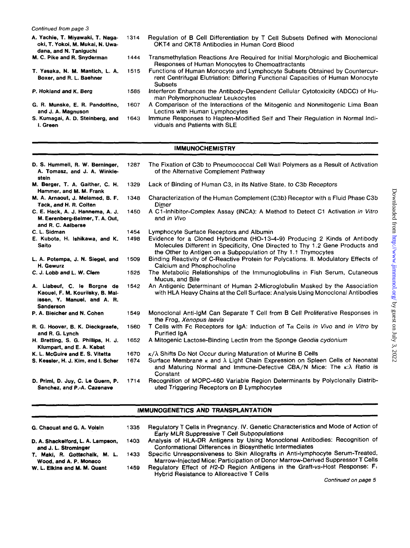*Continued from page 3* 

 $\mathcal{A}$ 

| A. Yachie, T. Miyawaki, T. Naga-<br>oki, T. Yokoi, M. Mukai, N. Uwa-<br>dana, and N. Taniguchi | 1314 | Regulation of B Cell Differentiation by T Cell Subsets Defined with Monoclonal<br>OKT4 and OKT8 Antibodies in Human Cord Blood                                                  |
|------------------------------------------------------------------------------------------------|------|---------------------------------------------------------------------------------------------------------------------------------------------------------------------------------|
| M. C. Pike and R. Snyderman                                                                    | 1444 | Transmethylation Reactions Are Required for Initial Morphologic and Biochemical<br>Responses of Human Monocytes to Chemoattractants                                             |
| T. Yasaka, N. M. Mantich, L. A.<br>Boxer, and R. L. Baehner                                    | 1515 | Functions of Human Monocyte and Lymphocyte Subsets Obtained by Countercur-<br>rent Centrifugal Elutriation: Differing Functional Capacities of Human Monocyte<br><b>Subsets</b> |
| P. Hokland and K. Berg                                                                         | 1585 | Interferon Enhances the Antibody-Dependent Cellular Cytotoxicity (ADCC) of Hu-<br>man Polymorphonuclear Leukocytes                                                              |
| G. R. Munske, E. R. Pandolfino,<br>and J. A. Magnuson                                          | 1607 | A Comparison of the Interactions of the Mitogenic and Nonmitogenic Lima Bean<br>Lectins with Human Lymphocytes                                                                  |
| S. Kumagai, A. D. Steinberg, and<br>I. Green                                                   | 1643 | Immune Responses to Hapten-Modified Self and Their Regulation in Normal Indi-<br>viduals and Patients with SLE                                                                  |

#### \_\_\_ IMMUNOCHEMISTRY ~\_\_\_ \_\_\_

| D. S. Hummell, R. W. Berninger,<br>A. Tomasz, and J. A. Winkle-<br>stein                                           | 1287 | The Fixation of C3b to Pneumococcal Cell Wall Polymers as a Result of Activation<br>of the Alternative Complement Pathway                                                                                                   |
|--------------------------------------------------------------------------------------------------------------------|------|-----------------------------------------------------------------------------------------------------------------------------------------------------------------------------------------------------------------------------|
| M. Berger, T. A. Gaither, C. H.<br>Hammer, and M. M. Frank                                                         | 1329 | Lack of Binding of Human C3, in Its Native State, to C3b Receptors                                                                                                                                                          |
| M. A. Arnaout, J. Melamed, B. F.<br>Tack, and H. R. Colten                                                         | 1348 | Characterization of the Human Complement (C3b) Receptor with a Fluid Phase C3b<br>Dimer                                                                                                                                     |
| C. E. Hack, A. J. Hannema, A. J.<br>M. Eerenberg-Belmer, T. A. Out,<br>and R. C. Aalberse                          | 1450 | A C1-Inhibitor-Complex Assay (INCA): A Method to Detect C1 Activation in Vitro<br>and in Vivo                                                                                                                               |
| C. L. Sidman                                                                                                       | 1454 | Lymphocyte Surface Receptors and Albumin                                                                                                                                                                                    |
| E. Kubota, H. Ishikawa, and K.<br>Saito                                                                            | 1498 | Evidence for a Cloned Hybridoma (HO-13-4-9) Producing 2 Kinds of Antibody<br>Molecules Different in Specificity, One Directed to Thy 1.2 Gene Products and<br>the Other to Antigen on a Subpopulation of Thy 1.1 Thymocytes |
| L. A. Potempa, J. N. Siegel, and<br>H. Gewurz                                                                      | 1509 | Binding Reactivity of C-Reactive Protein for Polycations. II. Modulatory Effects of<br>Calcium and Phosphocholine                                                                                                           |
| C. J. Lobb and L. W. Clem                                                                                          | 1525 | The Metabolic Relationships of the Immunoglobulins in Fish Serum, Cutaneous<br>Mucus, and Bile                                                                                                                              |
| A. Liabeuf, C. le Borgne de<br>Kaouel, F. M. Kourilsky, B. Mal-<br>issen, Y. Manuel, and A. R.<br><b>Sanderson</b> | 1542 | An Antigenic Determinant of Human 2-Microglobulin Masked by the Association<br>with HLA Heavy Chains at the Cell Surface: Analysis Using Monoclonal Antibodies                                                              |
| P. A. Bleicher and N. Cohen                                                                                        | 1549 | Monoclonal Anti-IgM Can Separate T Cell from B Cell Proliferative Responses in<br>the Frog, Xenopus laevis                                                                                                                  |
| R. G. Hoover, B. K. Dieckgraefe,<br>and R. G. Lynch                                                                | 1560 | T Cells with Fc Receptors for IgA: Induction of T $\alpha$ Cells in Vivo and in Vitro by<br><b>Purified IgA</b>                                                                                                             |
| H. Bretting, S. G. Phillips, H. J.<br>Klumpart, and E. A. Kabat                                                    | 1652 | A Mitogenic Lactose-Binding Lectin from the Sponge Geodia cydonium                                                                                                                                                          |
| K. L. McGuire and E. S. Vitetta                                                                                    | 1670 | $\kappa/\lambda$ Shifts Do Not Occur during Maturation of Murine B Cells                                                                                                                                                    |
| S. Kessler, H. J. Kim, and I. Scher                                                                                | 1674 | Surface Membrane $\kappa$ and $\lambda$ Light Chain Expression on Spleen Cells of Neonatal<br>and Maturing Normal and Immune-Defective CBA/N Mice: The $\kappa:\lambda$ Ratio is<br>Constant                                |
| D. Primi, D. Juy, C. Le Guern, P.<br>Sanchez, and P.-A. Cazenave                                                   | 1714 | Recognition of MOPC-460 Variable Region Determinants by Polyclonally Distrib-<br>uted Triggering Receptors on B Lymphocytes                                                                                                 |

# IMMUNOGENETICS AND TRANSPLANTATION

| G. Chaouat and G. A. Voisin                             | 1335. | Regulatory T Cells in Pregnancy. IV. Genetic Characteristics and Mode of Action of<br>Early MLR Suppressive T Cell Subpopulations                                |
|---------------------------------------------------------|-------|------------------------------------------------------------------------------------------------------------------------------------------------------------------|
|                                                         |       |                                                                                                                                                                  |
| D. A. Shackelford, L. A. Lampson,                       | 1403  | Analysis of HLA-DR Antigens by Using Monoclonal Antibodies: Recognition of                                                                                       |
| and J. L. Strominger                                    |       | Conformational Differences in Biosynthetic Intermediates                                                                                                         |
| T. Maki, R. Gottschalk, M. L.<br>Wood, and A. P. Monaco | 1433  | Specific Unresponsiveness to Skin Allografts in Anti-lymphocyte Serum-Treated,<br>Marrow-Injected Mice: Participation of Donor Marrow-Derived Suppressor T Cells |
| W. L. Elkins and M. M. Quant                            | 1459  | Regulatory Effect of H2-D Region Antigens in the Graft-vs-Host Response: F <sub>1</sub><br><b>Hybrid Resistance to Alloreactive T Cells</b>                      |

*Continued on page 5*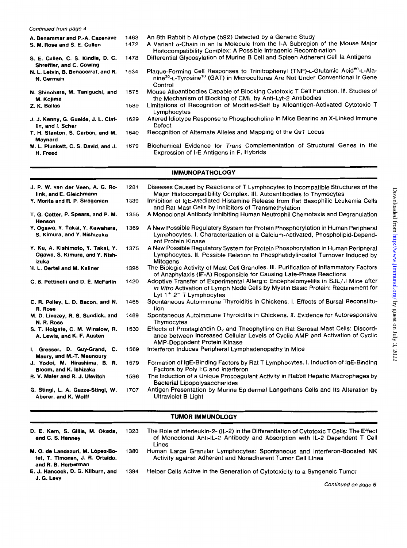*Continued from page 4* 

| A. Benammar and P.-A. Cazenave                                       | 1463 | An 8th Rabbit b Allotype (b92) Detected by a Genetic Study                                                                                                                                                       |
|----------------------------------------------------------------------|------|------------------------------------------------------------------------------------------------------------------------------------------------------------------------------------------------------------------|
| S. M. Rose and S. E. Cullen                                          | 1472 | A Variant $\alpha$ -Chain in an Ia Molecule from the I-A Subregion of the Mouse Major<br>Histocompatibility Complex: A Possible Intragenic Recombination                                                         |
| S. E. Cullen, C. S. Kindle, D. C.<br><b>Shreffler, and C. Cowing</b> | 1478 | Differential Glycosylation of Murine B Cell and Spleen Adherent Cell la Antigens                                                                                                                                 |
| N. L. Letvin, B. Benacerraf, and R.<br>N. Germain                    | 1534 | Plaque-Forming Cell Responses to Trinitrophenyl (TNP)-L-Glutamic Acid <sup>60</sup> -L-Ala-<br>nine <sup>30</sup> -L-Tyrosine <sup>10</sup> (GAT) in Microcultures Are Not Under Conventional Ir Gene<br>Control |
| N. Shinohara, M. Taniguchi, and<br>M. Kojima                         | 1575 | Mouse Alloantibodies Capable of Blocking Cytotoxic T Cell Function. III. Studies of<br>the Mechanism of Blocking of CML by Anti-Lyt-2 Antibodies                                                                 |
| Z. K. Ballas                                                         | 1589 | Limitations of Recognition of Modified-Self by Alloantigen-Activated Cytotoxic T<br>Lymphocytes                                                                                                                  |
| J. J. Kenny, G. Guelde, J. L. Claf-<br>lin, and I. Scher             | 1629 | Altered Idiotype Response to Phosphocholine in Mice Bearing an X-Linked Immune<br>Defect                                                                                                                         |
| T. H. Stanton, S. Carbon, and M.<br>Maynard                          | 1640 | Recognition of Alternate Alleles and Mapping of the Qa1 Locus                                                                                                                                                    |
| M. L. Plunkett, C. S. David, and J.<br>H. Freed                      | 1679 | Biochemical Evidence for Trans Complementation of Structural Genes in the<br>Expression of I-E Antigens in F <sub>1</sub> Hybrids                                                                                |

# **IMMUNOPATHOLOGY**

| J. P. W. van der Veen, A. G. Ro-<br>link, and E. Gleichmann                  | 1281 | Diseases Caused by Reactions of T Lymphocytes to Incompatible Structures of the<br>Major Histocompatibility Complex. III. Autoantibodies to Thymocytes                                                               |
|------------------------------------------------------------------------------|------|----------------------------------------------------------------------------------------------------------------------------------------------------------------------------------------------------------------------|
| Y. Morita and R. P. Siraganian                                               | 1339 | Inhibition of IgE-Mediated Histamine Release from Rat Basophilic Leukemia Cells<br>and Rat Mast Cells by Inhibitors of Transmethylation                                                                              |
| T. G. Cotter, P. Spears, and P. M.<br><b>Henson</b>                          | 1355 | A Monoclonal Antibody Inhibiting Human Neutrophil Chemotaxis and Degranulation                                                                                                                                       |
| Y. Ogawa, Y. Takai, Y. Kawahara,<br>S. Kimura, and Y. Nishizuka              | 1369 | A New Possible Regulatory System for Protein Phosphorylation in Human Peripheral<br>Lymphocytes. I. Characterization of a Calcium-Activated, Phospholipid-Depend-<br>ent Protein Kinase                              |
| Y. Ku, A. Kishimoto, Y. Takai, Y.<br>Ogawa, S. Kimura, and Y. Nish-<br>izuka | 1375 | A New Possible Regulatory System for Protein Phosphorylation in Human Peripheral<br>Lymphocytes. II. Possible Relation to Phosphatidylinositol Turnover Induced by<br>Mitogens                                       |
| H. L. Oertel and M. Kaliner                                                  | 1398 | The Biologic Activity of Mast Cell Granules. III. Purification of Inflammatory Factors<br>of Anaphylaxis (IF-A) Responsible for Causing Late-Phase Reactions                                                         |
| C. B. Pettinelli and D. E. McFarlin                                          | 1420 | Adoptive Transfer of Experimental Allergic Encephalomyelitis in SJL/J Mice after<br>in Vitro Activation of Lymph Node Cells by Myelin Basic Protein: Requirement for<br>Lyt $1^+$ 2 <sup>-</sup> T Lymphocytes       |
| C. R. Polley, L. D. Bacon, and N.<br>R. Rose                                 | 1465 | Spontaneous Autoimmune Thyroiditis in Chickens. I. Effects of Bursal Reconstitu-<br>tion                                                                                                                             |
| M. D. Livezey, R. S. Sundick, and<br>N. R. Rose                              | 1469 | Spontaneous Autoimmune Thyroiditis in Chickens. II. Evidence for Autoresponsive<br>Thymocytes                                                                                                                        |
| S. T. Holgate, C. M. Winslow, R.<br>A. Lewis, and K. F. Austen               | 1530 | Effects of Prostaglandin D <sub>2</sub> and Theophylline on Rat Serosal Mast Cells: Discord-<br>ance between Increased Cellular Levels of Cyclic AMP and Activation of Cyclic<br><b>AMP-Dependent Protein Kinase</b> |
| I. Gresser, D. Guy-Grand, C.<br>Maury, and M.-T. Maunoury                    | 1569 | Interferon Induces Peripheral Lymphadenopathy in Mice                                                                                                                                                                |
| J. Yodoi, M. Hirashima, B. R.<br>Bloom, and K. Ishizaka                      | 1579 | Formation of IgE-Binding Factors by Rat T Lymphocytes. I. Induction of IgE-Binding<br>Factors by Poly I:C and Interferon                                                                                             |
| R. V. Maier and R. J. Ulevitch                                               | 1596 | The Induction of a Unique Procoagulant Activity in Rabbit Hepatic Macrophages by<br><b>Bacterial Lipopolysaccharides</b>                                                                                             |
| G. Stingl, L. A. Gazze-Stingl, W.<br>Aberer, and K. Wolff                    | 1707 | Antigen Presentation by Murine Epidermal Langerhans Cells and Its Alteration by<br>Ultraviolet B Light                                                                                                               |
|                                                                              |      | TUMOR IMMUNOLOGY                                                                                                                                                                                                     |

### TUMOR IMMUNOLOGY

| D. E. Kern, S. Gillis, M. Okada,<br>and C. S. Henney                                       | 1323 | The Role of Interleukin-2- (IL-2) in the Differentiation of Cytotoxic T Cells: The Effect<br>of Monocional Anti-IL-2 Antibody and Absorption with IL-2 Dependent T Cell<br>Lines |
|--------------------------------------------------------------------------------------------|------|----------------------------------------------------------------------------------------------------------------------------------------------------------------------------------|
| M. O. de Landazuri, M. López-Bo-<br>tet. T. Timonen, J. R. Ortaldo.<br>and R. B. Herberman | 1380 | Human Large Granular Lymphocytes: Spontaneous and Interferon-Boosted NK<br>Activity against Adherent and Nonadherent Tumor Cell Lines                                            |
| E. J. Hancock, D. G. Kilburn, and<br>J. G. Levy                                            | 1394 | Helper Cells Active in the Generation of Cytotoxicity to a Syngeneic Tumor                                                                                                       |

*Continued on page 6* 

Downloaded from http://www.jimmunol.org/ by guest on July 3, 2022 Downloaded from  $http://www.jmmunol.org/ by guest on July 3, 2022$